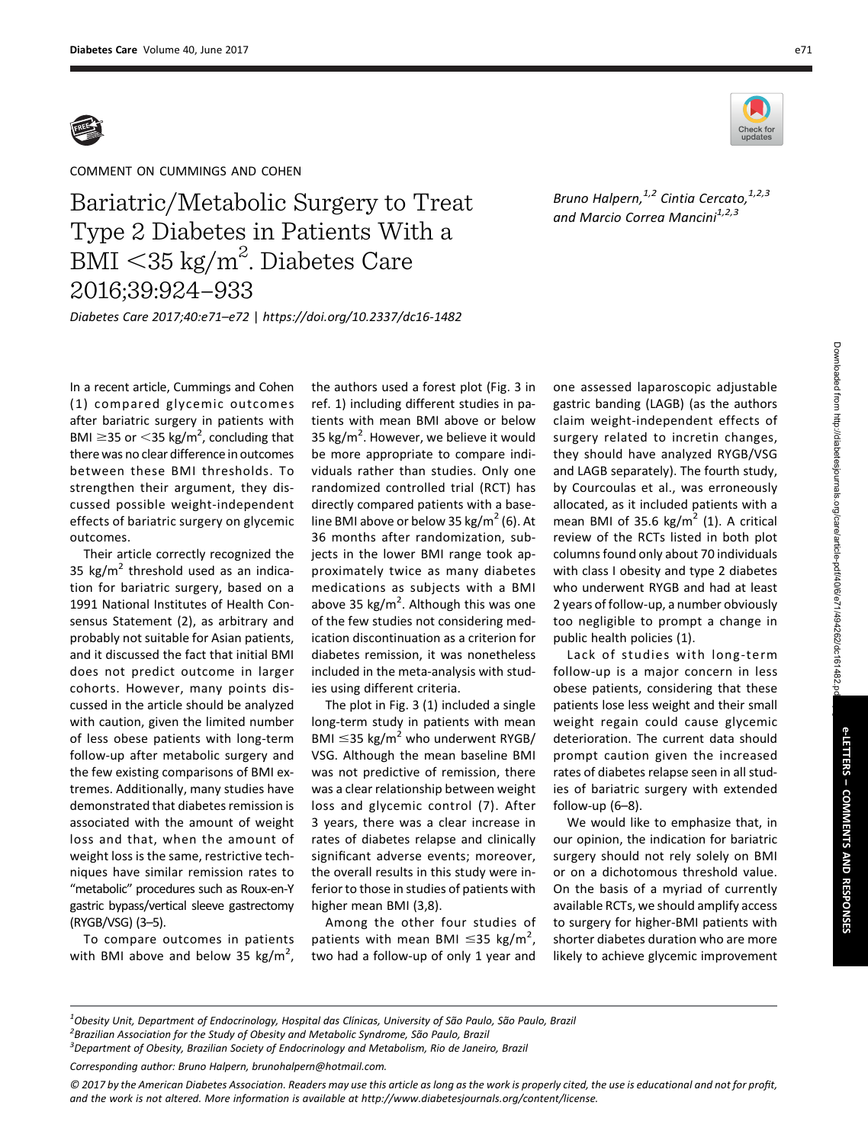

COMMENT ON CUMMINGS AND COHEN

Bariatric/Metabolic Surgery to Treat<br>Type 2 Diabetes in Patients With a  $\frac{51}{2}$  BMI < 35 kg/m<sup>2</sup>. Diabetes Care<br>2016:39:924-933  $\mathcal{B}$ 2016;39:924–933

Bruno Halpern, $^{1,2}$  Cintia Cercato, $^{1,2,3}$ and Marcio Correa Mancini<sup>1,2,3</sup>

Diabetes Care 2017;40:e71–e72 | <https://doi.org/10.2337/dc16-1482>

In a recent article, Cummings and Cohen (1) compared glycemic outcomes after bariatric surgery in patients with BMI  $\geq$ 35 or  $<$ 35 kg/m<sup>2</sup>, concluding that there was no clear difference in outcomes between these BMI thresholds. To strengthen their argument, they discussed possible weight-independent effects of bariatric surgery on glycemic outcomes.

Their article correctly recognized the 35  $\text{kg/m}^2$  threshold used as an indication for bariatric surgery, based on a 1991 National Institutes of Health Consensus Statement (2), as arbitrary and probably not suitable for Asian patients, and it discussed the fact that initial BMI does not predict outcome in larger cohorts. However, many points discussed in the article should be analyzed with caution, given the limited number of less obese patients with long-term follow-up after metabolic surgery and the few existing comparisons of BMI extremes. Additionally, many studies have demonstrated that diabetes remission is associated with the amount of weight loss and that, when the amount of weight loss is the same, restrictive techniques have similar remission rates to "metabolic" procedures such as Roux-en-Y gastric bypass/vertical sleeve gastrectomy (RYGB/VSG) (3–5).

To compare outcomes in patients with BMI above and below 35  $\text{kg/m}^2$ ,

the authors used a forest plot (Fig. 3 in ref. 1) including different studies in patients with mean BMI above or below 35 kg/m<sup>2</sup>. However, we believe it would be more appropriate to compare individuals rather than studies. Only one randomized controlled trial (RCT) has directly compared patients with a baseline BMI above or below 35 kg/m<sup>2</sup> (6). At 36 months after randomization, subjects in the lower BMI range took approximately twice as many diabetes medications as subjects with a BMI above 35 kg/m<sup>2</sup>. Although this was one of the few studies not considering medication discontinuation as a criterion for diabetes remission, it was nonetheless included in the meta-analysis with studies using different criteria.

The plot in Fig. 3 (1) included a single long-term study in patients with mean BMI  $\leq$ 35 kg/m<sup>2</sup> who underwent RYGB/ VSG. Although the mean baseline BMI was not predictive of remission, there was a clear relationship between weight loss and glycemic control (7). After 3 years, there was a clear increase in rates of diabetes relapse and clinically significant adverse events; moreover, the overall results in this study were inferior to those in studies of patients with higher mean BMI (3,8).

Among the other four studies of patients with mean BMI  $\leq$ 35 kg/m<sup>2</sup>, two had a follow-up of only 1 year and

one assessed laparoscopic adjustable gastric banding (LAGB) (as the authors claim weight-independent effects of surgery related to incretin changes, they should have analyzed RYGB/VSG and LAGB separately). The fourth study, by Courcoulas et al., was erroneously allocated, as it included patients with a mean BMI of 35.6 kg/m<sup>2</sup> (1). A critical review of the RCTs listed in both plot columns found only about 70 individuals with class I obesity and type 2 diabetes who underwent RYGB and had at least 2 years of follow-up, a number obviously too negligible to prompt a change in public health policies (1).

Lack of studies with long-term follow-up is a major concern in less obese patients, considering that these patients lose less weight and their small weight regain could cause glycemic deterioration. The current data should prompt caution given the increased rates of diabetes relapse seen in all studies of bariatric surgery with extended follow-up (6–8).

We would like to emphasize that, in our opinion, the indication for bariatric surgery should not rely solely on BMI or on a dichotomous threshold value. On the basis of a myriad of currently available RCTs, we should amplify access to surgery for higher-BMI patients with shorter diabetes duration who are more likely to achieve glycemic improvement

<sup>1</sup>Obesity Unit, Department of Endocrinology, Hospital das Clínicas, University of São Paulo, São Paulo, Brazil<br><sup>2</sup> Prazilian Accesiation for the Study of Obesity and Matabolis Syndrome, São Paulo, Prazil  ${}^{2}$ Brazilian Association for the Study of Obesity and Metabolic Syndrome, São Paulo, Brazil <sup>3</sup> Department of Obesity, Brazilian Society of Endocrinology and Metabolism, Rio de Janeiro, Brazil

Corresponding author: Bruno Halpern, [brunohalpern@hotmail.com.](mailto:brunohalpern@hotmail.com)

© 2017 by the American Diabetes Association. Readers may use this article as long as the work is properly cited, the use is educational and not for profit, and the work is not altered. More information is available at [http://www.diabetesjournals.org/content/license.](http://www.diabetesjournals.org/content/license)